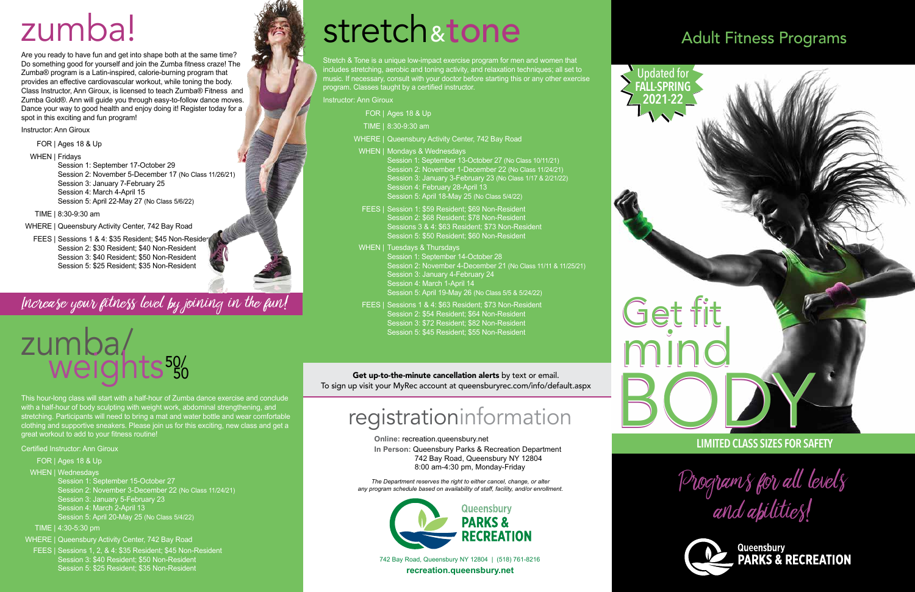742 Bay Road, Queensbury NY 12804 | (518) 761-8216 **recreation.queensbury.net**



**Online:** recreation.queensbury.net **In Person:** Queensbury Parks & Recreation Department 742 Bay Road, Queensbury NY 12804 8:00 am-4:30 pm, Monday-Friday

#### Get up-to-the-minute cancellation alerts by text or email. To sign up visit your MyRec account at queensburyrec.com/info/default.aspx

*The Department reserves the right to either cancel, change, or alter any program schedule based on availability of staff, facility, and/or enrollment.*



## registrationinformation

## Adult Fitness Programs

Programs for all levels

and abilities!



This hour-long class will start with a half-hour of Zumba dance exercise and conclude with a half-hour of body sculpting with weight work, abdominal strengthening, and stretching. Participants will need to bring a mat and water bottle and wear comfortable clothing and supportive sneakers. Please join us for this exciting, new class and get a great workout to add to your fitness routine!

Certified Instructor: Ann Giroux

FOR | Ages 18 & Up

#### WHEN | Wednesdays

 Session 1: September 15-October 27 Session 2: November 3-December 22 (No Class 11/24/21) Session 3: January 5-February 23 Session 4: March 2-April 13 Session 5: April 20-May 25 (No Class 5/4/22)

FEES | Sessions 1 & 4: \$35 Resident; \$45 Non-Resident Session 2: \$30 Resident; \$40 Non-Resident Session 3: \$40 Resident; \$50 Non-Resident Session 5: \$25 Resident; \$35 Non-Resident

Increase your fitness level by joining in the fun!

#### TIME | 4:30-5:30 pm

WHERE | Queensbury Activity Center, 742 Bay Road

FEES | Sessions 1, 2, & 4: \$35 Resident; \$45 Non-Resident Session 3: \$40 Resident; \$50 Non-Resident Session 5: \$25 Resident; \$35 Non-Resident







Are you ready to have fun and get into shape both at the same time? Do something good for yourself and join the Zumba fitness craze! The Zumba® program is a Latin-inspired, calorie-burning program that provides an effective cardiovascular workout, while toning the body. Class Instructor, Ann Giroux, is licensed to teach Zumba® Fitness and Zumba Gold®. Ann will guide you through easy-to-follow dance moves. Dance your way to good health and enjoy doing it! Register today for a spot in this exciting and fun program!

Instructor: Ann Giroux

FOR | Ages 18 & Up

WHEN | Fridays

 Session 1: September 17-October 29 Session 2: November 5-December 17 (No Class 11/26/21) Session 3: January 7-February 25 Session 4: March 4-April 15 Session 5: April 22-May 27 (No Class 5/6/22)

TIME | 8:30-9:30 am

WHERE | Queensbury Activity Center, 742 Bay Road

# zumba!

# stretch &tone

Stretch & Tone is a unique low-impact exercise program for men and women that includes stretching, aerobic and toning activity, and relaxation techniques; all set to music. If necessary, consult with your doctor before starting this or any other exercise program. Classes taught by a certified instructor.

Instructor: Ann Giroux

- FOR | Ages 18 & Up
- TIME | 8:30-9:30 am
- WHERE | Queensbury Activity Center, 742 Bay Road
- WHEN | Mondays & Wednesdays Session 1: September 13-October 27 (No Class 10/11/21) Session 2: November 1-December 22 (No Class 11/24/21) Session 3: January 3-February 23 (No Class 1/17 & 2/21/22) Session 4: February 28-April 13

Session 5: April 18-May 25 (No Class 5/4/22)

- FEES | Session 1: \$59 Resident; \$69 Non-Resident Session 2: \$68 Resident; \$78 Non-Resident Sessions 3 & 4: \$63 Resident; \$73 Non-Resident Session 5: \$50 Resident; \$60 Non-Resident
- WHEN | Tuesdays & Thursdays Session 1: September 14-October 28 Session 2: November 4-December 21 (No Class 11/11 & 11/25/21) Session 3: January 4-February 24 Session 4: March 1-April 14 Session 5: April 19-May 26 (No Class 5/5 & 5/24/22)
- FEES | Sessions 1 & 4: \$63 Resident; \$73 Non-Resident Session 2: \$54 Resident; \$64 Non-Resident Session 3: \$72 Resident; \$82 Non-Resident Session 5: \$45 Resident; \$55 Non-Resident